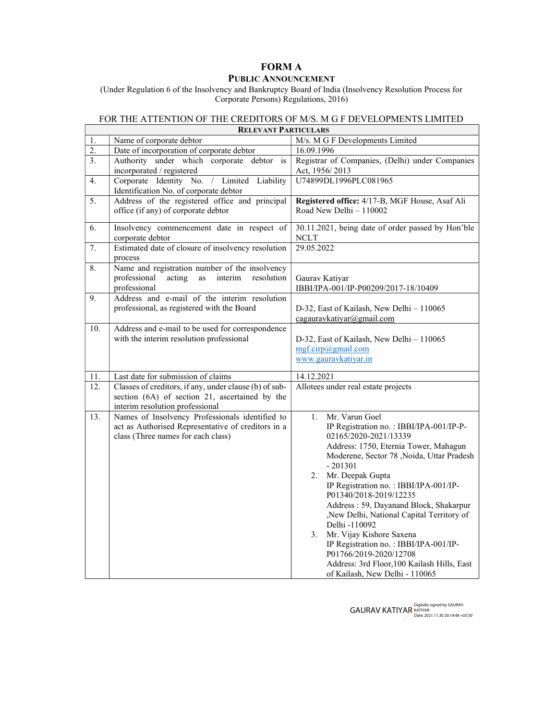## FORM A

## PUBLIC ANNOUNCEMENT

(Under Regulation 6 of the Insolvency and Bankruptcy Board of India (Insolvency Resolution Process for Corporate Persons) Regulations, 2016)

## FOR THE ATTENTION OF THE CREDITORS OF M/S. M G F DEVELOPMENTS LIMITED

 $\mathsf{r}$ 

| <b>RELEVANT PARTICULARS</b> |                                                                                                                                             |                                                                                                                                                                                                                                                                                                                                                                                                                                                                                                                                                                                        |
|-----------------------------|---------------------------------------------------------------------------------------------------------------------------------------------|----------------------------------------------------------------------------------------------------------------------------------------------------------------------------------------------------------------------------------------------------------------------------------------------------------------------------------------------------------------------------------------------------------------------------------------------------------------------------------------------------------------------------------------------------------------------------------------|
| 1.                          | Name of corporate debtor                                                                                                                    | M/s. M G F Developments Limited                                                                                                                                                                                                                                                                                                                                                                                                                                                                                                                                                        |
| $\overline{2}$ .            | Date of incorporation of corporate debtor                                                                                                   | 16.09.1996                                                                                                                                                                                                                                                                                                                                                                                                                                                                                                                                                                             |
| 3.                          | Authority under which corporate debtor<br>$\mathbf{i}$ s<br>incorporated / registered                                                       | Registrar of Companies, (Delhi) under Companies<br>Act, 1956/2013                                                                                                                                                                                                                                                                                                                                                                                                                                                                                                                      |
| 4.                          | Corporate Identity No. / Limited Liability<br>Identification No. of corporate debtor                                                        | U74899DL1996PLC081965                                                                                                                                                                                                                                                                                                                                                                                                                                                                                                                                                                  |
| 5.                          | Address of the registered office and principal<br>office (if any) of corporate debtor                                                       | Registered office: 4/17-B, MGF House, Asaf Ali<br>Road New Delhi - 110002                                                                                                                                                                                                                                                                                                                                                                                                                                                                                                              |
| 6.                          | Insolvency commencement date in respect of<br>corporate debtor                                                                              | 30.11.2021, being date of order passed by Hon'ble<br><b>NCLT</b>                                                                                                                                                                                                                                                                                                                                                                                                                                                                                                                       |
| 7.                          | Estimated date of closure of insolvency resolution<br>process                                                                               | 29.05.2022                                                                                                                                                                                                                                                                                                                                                                                                                                                                                                                                                                             |
| 8.                          | Name and registration number of the insolvency<br>acting<br>interim<br>resolution<br>professional<br>as<br>professional                     | Gaurav Katiyar<br>IBBI/IPA-001/IP-P00209/2017-18/10409                                                                                                                                                                                                                                                                                                                                                                                                                                                                                                                                 |
| 9.                          | Address and e-mail of the interim resolution<br>professional, as registered with the Board                                                  | D-32, East of Kailash, New Delhi - 110065<br>cagauravkatiyar@gmail.com                                                                                                                                                                                                                                                                                                                                                                                                                                                                                                                 |
| 10.                         | Address and e-mail to be used for correspondence<br>with the interim resolution professional                                                | D-32, East of Kailash, New Delhi - 110065<br>mgf.cirp@gmail.com<br>www.gauravkatiyar.in                                                                                                                                                                                                                                                                                                                                                                                                                                                                                                |
| 11.                         | Last date for submission of claims                                                                                                          | 14.12.2021                                                                                                                                                                                                                                                                                                                                                                                                                                                                                                                                                                             |
| 12.                         | Classes of creditors, if any, under clause (b) of sub-<br>section (6A) of section 21, ascertained by the<br>interim resolution professional | Allotees under real estate projects                                                                                                                                                                                                                                                                                                                                                                                                                                                                                                                                                    |
| 13.                         | Names of Insolvency Professionals identified to<br>act as Authorised Representative of creditors in a<br>class (Three names for each class) | 1.<br>Mr. Varun Goel<br>IP Registration no.: IBBI/IPA-001/IP-P-<br>02165/2020-2021/13339<br>Address: 1750, Eternia Tower, Mahagun<br>Moderene, Sector 78, Noida, Uttar Pradesh<br>$-201301$<br>Mr. Deepak Gupta<br>2.<br>IP Registration no.: IBBI/IPA-001/IP-<br>P01340/2018-2019/12235<br>Address: 59, Dayanand Block, Shakarpur<br>,New Delhi, National Capital Territory of<br>Delhi -110092<br>3.<br>Mr. Vijay Kishore Saxena<br>IP Registration no.: IBBI/IPA-001/IP-<br>P01766/2019-2020/12708<br>Address: 3rd Floor, 100 Kailash Hills, East<br>of Kailash, New Delhi - 110065 |

GAURAV KATIYAR Equilly signed by GAURAV